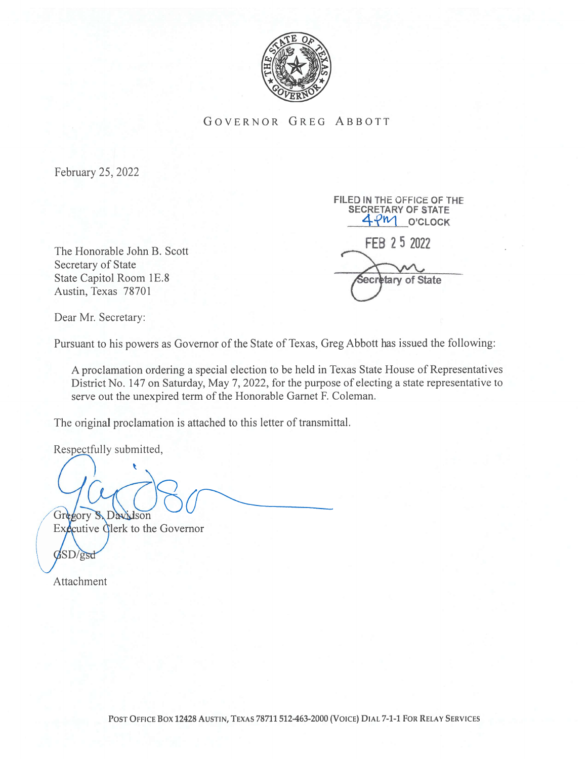

GOVERNOR GREG ABBOTT

February 25, 2022

The Honorable John B. Scott Secretary of State State Capitol Room 1E.8 Austin, Texas 78701

FILED IN THE OFFICE OF THE SECRETARY OF STATE 4PM O'CLOCK FEB 25 2022 ecretary of State

Dear Mr. Secretary:

Pursuant to his powers as Governor of the State of Texas, Greg Abbott has issued the following:

A proclamation ordering a special election to be held in Texas State House of Representatives District No. 147 on Saturday, May 7, 2022, for the purpose of electing a state representative to serve out the unexpired term of the Honorable Garnet F. Coleman.

The original proclamation is attached to this letter of transmittal.

Respectfully submitted,

Grd DA gory  $d$ son

Executive Clerk to the Governor  $\sqrt{SD/gsd}$ 

Attachment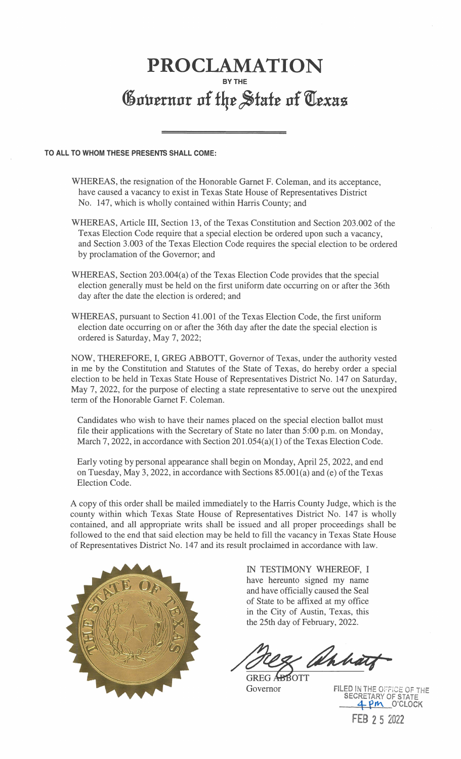## PROCLAMATION BY THE Governor of the State of Texas

## TO ALL TO WHOM THESE PRESENTS SHALL COME:

- WHEREAS, the resignation of the Honorable Garnet F. Coleman, and its acceptance, have caused a vacancy to exist in Texas State House of Representatives District No. 147, which is wholly contained within Harris County; and
- WHEREAS, Article III, Section 13, of the Texas Constitution and Section 203.002 of the Texas Election Code require that a special election be ordered upon such a vacancy, and Section 3.003 of the Texas Election Code requires the special election to be ordered by proclamation of the Governor; and
- WHEREAS, Section 203.004(a) of the Texas Election Code provides that the special election generally must be held on the first uniform date occurring on or after the 36th day after the date the election is ordered; and
- WHEREAS, pursuant to Section 41.001 of the Texas Election Code, the first uniform election date occurring on or after the 36th day after the date the special election is ordered is Saturday, May 7, 2022;

NOW, THEREFORE, I, GREG ABBOTT, Governor of Texas, under the authority vested in me by the Constitution and Statutes of the State of Texas, do hereby order a special election to be held in Texas State House of Representatives District No. 147 on Saturday, May 7, 2022, for the purpose of electing a state representative to serve out the unexpired term of the Honorable Garnet F. Coleman.

Candidates who wish to have their names placed on the special election ballot must file their applications with the Secretary of State no later than 5:00 p.m. on Monday, March 7, 2022, in accordance with Section 201.054(a)(1) of the Texas Election Code.

Early voting by personal appearance shall begin on Monday, April 25, 2022, and end on Tuesday, May 3, 2022, in accordance with Sections  $85.001(a)$  and (e) of the Texas Election Code.

A copy of this order shall be mailed immediately to the Harris County Judge, which is the county within which Texas State House of Representatives District No. 147 is wholly contained, and all appropriate writs shall be issued and all proper proceedings shall be followed to the end that said election may be held to fill the vacancy in Texas State House of Representatives District No. 147 and its result proclaimed in accordance with law.



IN TESTIMONY WHEREOF, I have hereunto signed my name and have officially caused the Seal of State to be affixed at my office in the City of Austin, Texas, this the 25th day of February, 2022.

Whhà

GREG A Governor OTT

FILED IN THE OFFICE OF THE SECRETARY OF STATE<br>4 PM \_O'CLOCK FEB 2 5 2022